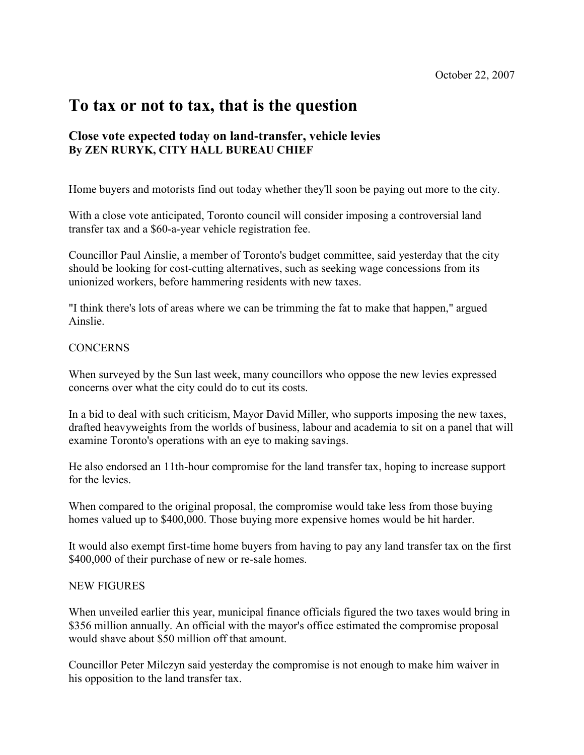## To tax or not to tax, that is the question

## Close vote expected today on land-transfer, vehicle levies By ZEN RURYK, CITY HALL BUREAU CHIEF

Home buyers and motorists find out today whether they'll soon be paying out more to the city.

With a close vote anticipated, Toronto council will consider imposing a controversial land transfer tax and a \$60-a-year vehicle registration fee.

Councillor Paul Ainslie, a member of Toronto's budget committee, said yesterday that the city should be looking for cost-cutting alternatives, such as seeking wage concessions from its unionized workers, before hammering residents with new taxes.

"I think there's lots of areas where we can be trimming the fat to make that happen," argued Ainslie.

## **CONCERNS**

When surveyed by the Sun last week, many councillors who oppose the new levies expressed concerns over what the city could do to cut its costs.

In a bid to deal with such criticism, Mayor David Miller, who supports imposing the new taxes, drafted heavyweights from the worlds of business, labour and academia to sit on a panel that will examine Toronto's operations with an eye to making savings.

He also endorsed an 11th-hour compromise for the land transfer tax, hoping to increase support for the levies.

When compared to the original proposal, the compromise would take less from those buying homes valued up to \$400,000. Those buying more expensive homes would be hit harder.

It would also exempt first-time home buyers from having to pay any land transfer tax on the first \$400,000 of their purchase of new or re-sale homes.

## NEW FIGURES

When unveiled earlier this year, municipal finance officials figured the two taxes would bring in \$356 million annually. An official with the mayor's office estimated the compromise proposal would shave about \$50 million off that amount.

Councillor Peter Milczyn said yesterday the compromise is not enough to make him waiver in his opposition to the land transfer tax.